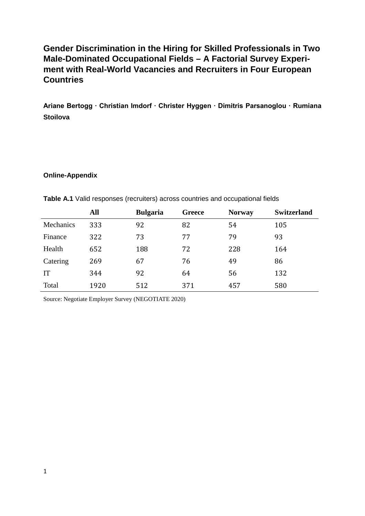## **Gender Discrimination in the Hiring for Skilled Professionals in Two Male-Dominated Occupational Fields – A Factorial Survey Experiment with Real-World Vacancies and Recruiters in Four European Countries**

**Ariane Bertogg ∙ Christian Imdorf ∙ Christer Hyggen ∙ Dimitris Parsanoglou ∙ Rumiana Stoilova**

## **Online-Appendix**

|                  | All  | <b>Bulgaria</b> | <b>Greece</b> | <b>Norway</b> | <b>Switzerland</b> |
|------------------|------|-----------------|---------------|---------------|--------------------|
| <b>Mechanics</b> | 333  | 92              | 82            | 54            | 105                |
| Finance          | 322  | 73              | 77            | 79            | 93                 |
| Health           | 652  | 188             | 72            | 228           | 164                |
| Catering         | 269  | 67              | 76            | 49            | 86                 |
| <b>IT</b>        | 344  | 92              | 64            | 56            | 132                |
| Total            | 1920 | 512             | 371           | 457           | 580                |

**Table A.1** Valid responses (recruiters) across countries and occupational fields

Source: Negotiate Employer Survey (NEGOTIATE 2020)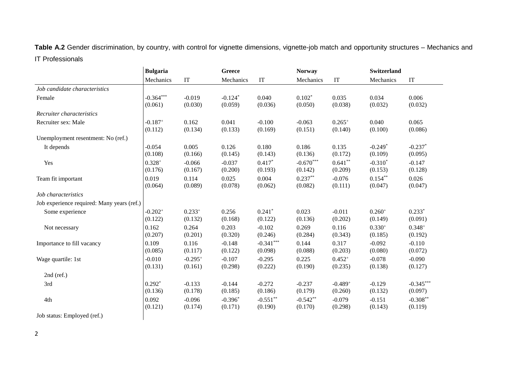Table A.2 Gender discrimination, by country, with control for vignette dimensions, vignette-job match and opportunity structures - Mechanics and IT Professionals

|                                            | <b>Bulgaria</b> |             | <b>Greece</b> |             |             | <b>Norway</b>         |             | <b>Switzerland</b> |  |
|--------------------------------------------|-----------------|-------------|---------------|-------------|-------------|-----------------------|-------------|--------------------|--|
|                                            | Mechanics       | IT          | Mechanics     | IT          | Mechanics   | IT                    | Mechanics   | IT                 |  |
| Job candidate characteristics              |                 |             |               |             |             |                       |             |                    |  |
| Female                                     | $-0.364***$     | $-0.019$    | $-0.124*$     | 0.040       | $0.102*$    | 0.035                 | 0.034       | 0.006              |  |
|                                            | (0.061)         | (0.030)     | (0.059)       | (0.036)     | (0.050)     | (0.038)               | (0.032)     | (0.032)            |  |
| Recruiter characteristics                  |                 |             |               |             |             |                       |             |                    |  |
| Recruiter sex: Male                        | $-0.187+$       | 0.162       | 0.041         | $-0.100$    | $-0.063$    | $0.265^{+}$           | 0.040       | 0.065              |  |
|                                            | (0.112)         | (0.134)     | (0.133)       | (0.169)     | (0.151)     | (0.140)               | (0.100)     | (0.086)            |  |
| Unemployment resentment: No (ref.)         |                 |             |               |             |             |                       |             |                    |  |
| It depends                                 | $-0.054$        | 0.005       | 0.126         | 0.180       | 0.186       | 0.135                 | $-0.249*$   | $-0.237*$          |  |
|                                            | (0.108)         | (0.166)     | (0.145)       | (0.143)     | (0.136)     | (0.172)               | (0.109)     | (0.095)            |  |
| Yes                                        | $0.328+$        | $-0.066$    | $-0.037$      | $0.417*$    | $-0.670***$ | $0.641**$             | $-0.310*$   | $-0.147$           |  |
|                                            | (0.176)         | (0.167)     | (0.200)       | (0.193)     | (0.142)     | (0.209)               | (0.153)     | (0.128)            |  |
| Team fit important                         | 0.019           | 0.114       | 0.025         | 0.004       | $0.237**$   | $-0.076$              | $0.154***$  | 0.026              |  |
|                                            | (0.064)         | (0.089)     | (0.078)       | (0.062)     | (0.082)     | (0.111)               | (0.047)     | (0.047)            |  |
| Job characteristics                        |                 |             |               |             |             |                       |             |                    |  |
| Job experience required: Many years (ref.) |                 |             |               |             |             |                       |             |                    |  |
| Some experience                            | $-0.202+$       | $0.233^{+}$ | 0.256         | $0.241*$    | 0.023       | $-0.011$              | $0.260^{+}$ | $0.233*$           |  |
|                                            | (0.122)         | (0.132)     | (0.168)       | (0.122)     | (0.136)     | (0.202)               | (0.149)     | (0.091)            |  |
| Not necessary                              | 0.162           | 0.264       | 0.203         | $-0.102$    | 0.269       | 0.116                 | $0.330+$    | $0.348+$           |  |
|                                            | (0.207)         | (0.201)     | (0.320)       | (0.246)     | (0.284)     | (0.343)               | (0.185)     | (0.192)            |  |
| Importance to fill vacancy                 | 0.109           | 0.116       | $-0.148$      | $-0.341***$ | 0.144       | 0.317                 | $-0.092$    | $-0.110$           |  |
|                                            | (0.085)         | (0.117)     | (0.122)       | (0.098)     | (0.088)     | (0.203)               | (0.080)     | (0.072)            |  |
| Wage quartile: 1st                         | $-0.010$        | $-0.295+$   | $-0.107$      | $-0.295$    | 0.225       | $0.452^{+}$           | $-0.078$    | $-0.090$           |  |
|                                            | (0.131)         | (0.161)     | (0.298)       | (0.222)     | (0.190)     | (0.235)               | (0.138)     | (0.127)            |  |
| $2nd$ (ref.)                               |                 |             |               |             |             |                       |             |                    |  |
| 3rd                                        | $0.292*$        | $-0.133$    | $-0.144$      | $-0.272$    | $-0.237$    | $-0.489$ <sup>+</sup> | $-0.129$    | $-0.345***$        |  |
|                                            | (0.136)         | (0.178)     | (0.185)       | (0.186)     | (0.179)     | (0.260)               | (0.132)     | (0.097)            |  |
| 4th                                        | 0.092           | $-0.096$    | $-0.396*$     | $-0.551**$  | $-0.542**$  | $-0.079$              | $-0.151$    | $-0.308**$         |  |
|                                            | (0.121)         | (0.174)     | (0.171)       | (0.190)     | (0.170)     | (0.298)               | (0.143)     | (0.119)            |  |
| Job status: Employed (ref.)                |                 |             |               |             |             |                       |             |                    |  |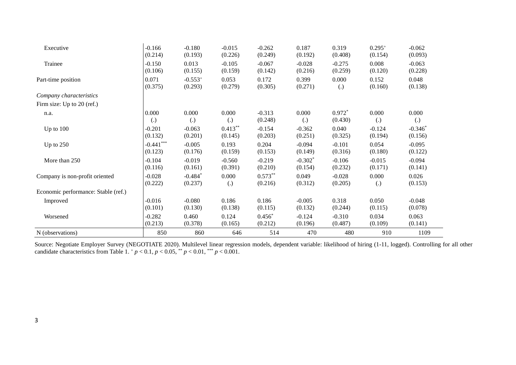| N (observations)                    | 850                        | 860                        | 646                        | 514                  | 470                        | 480                 | 910                        | 1109                       |
|-------------------------------------|----------------------------|----------------------------|----------------------------|----------------------|----------------------------|---------------------|----------------------------|----------------------------|
| Worsened                            | $-0.282$<br>(0.213)        | 0.460<br>(0.378)           | 0.124<br>(0.165)           | $0.456*$<br>(0.212)  | $-0.124$<br>(0.196)        | $-0.310$<br>(0.487) | 0.034<br>(0.109)           | 0.063<br>(0.141)           |
| Improved                            | $-0.016$<br>(0.101)        | $-0.080$<br>(0.130)        | 0.186<br>(0.138)           | 0.186<br>(0.115)     | $-0.005$<br>(0.132)        | 0.318<br>(0.244)    | 0.050<br>(0.115)           | $-0.048$<br>(0.078)        |
| Economic performance: Stable (ref.) |                            |                            |                            |                      |                            |                     |                            |                            |
| Company is non-profit oriented      | $-0.028$<br>(0.222)        | $-0.484*$<br>(0.237)       | 0.000<br>$\left( .\right)$ | $0.573**$<br>(0.216) | 0.049<br>(0.312)           | $-0.028$<br>(0.205) | 0.000<br>$\left( .\right)$ | 0.026<br>(0.153)           |
|                                     | (0.116)                    | (0.161)                    | (0.391)                    | (0.210)              | (0.154)                    | (0.232)             | (0.171)                    | (0.141)                    |
| More than 250                       | $-0.104$                   | $-0.019$                   | $-0.560$                   | $-0.219$             | $-0.302*$                  | $-0.106$            | $-0.015$                   | $-0.094$                   |
| Up to $250$                         | $-0.441***$<br>(0.123)     | $-0.005$<br>(0.176)        | 0.193<br>(0.159)           | 0.204<br>(0.153)     | $-0.094$<br>(0.149)        | $-0.101$<br>(0.316) | 0.054<br>(0.180)           | $-0.095$<br>(0.122)        |
|                                     | (0.132)                    | (0.201)                    | (0.145)                    | (0.203)              | (0.251)                    | (0.325)             | (0.194)                    | (0.156)                    |
| Up to $100$                         | $-0.201$                   | $-0.063$                   | $0.413***$                 | $-0.154$             | $-0.362$                   | 0.040               | $-0.124$                   | $-0.346*$                  |
| n.a.                                | 0.000<br>$\left( .\right)$ | 0.000<br>$\left( .\right)$ | 0.000<br>$\left( .\right)$ | $-0.313$<br>(0.248)  | 0.000<br>$\left( .\right)$ | $0.972*$<br>(0.430) | 0.000<br>$\left( .\right)$ | 0.000<br>$\left( .\right)$ |
| Firm size: Up to 20 (ref.)          |                            |                            |                            |                      |                            |                     |                            |                            |
| Company characteristics             |                            |                            |                            |                      |                            |                     |                            |                            |
|                                     | (0.375)                    | (0.293)                    | (0.279)                    | (0.305)              | (0.271)                    | $\left( .\right)$   | (0.160)                    | (0.138)                    |
| Part-time position                  | 0.071                      | $-0.553^{+}$               | 0.053                      | 0.172                | 0.399                      | 0.000               | 0.152                      | 0.048                      |
| Trainee                             | $-0.150$<br>(0.106)        | 0.013<br>(0.155)           | $-0.105$<br>(0.159)        | $-0.067$<br>(0.142)  | $-0.028$<br>(0.216)        | $-0.275$<br>(0.259) | 0.008<br>(0.120)           | $-0.063$<br>(0.228)        |
|                                     | (0.214)                    | (0.193)                    | (0.226)                    | (0.249)              | (0.192)                    | (0.408)             | (0.154)                    | (0.093)                    |
| Executive                           | $-0.166$                   | $-0.180$                   | $-0.015$                   | $-0.262$             | 0.187                      | 0.319               | $0.295^{+}$                | $-0.062$                   |

Source: Negotiate Employer Survey (NEGOTIATE 2020). Multilevel linear regression models, dependent variable: likelihood of hiring (1-11, logged). Controlling for all other candidate characteristics from Table 1.  $^{+}p$  < 0.1,  $p$  < 0.05,  $^{**}p$  < 0.01,  $^{***}p$  < 0.001.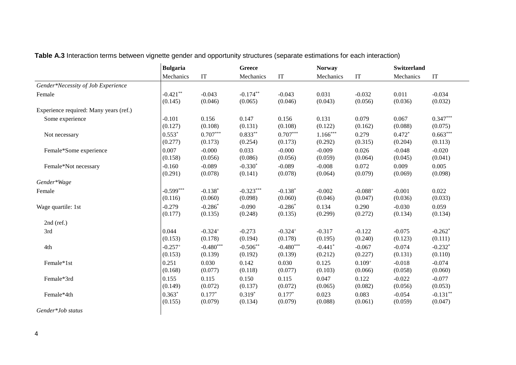|                                        | <b>Bulgaria</b> |             | Greece      |                     |                       | <b>Norway</b> |           | <b>Switzerland</b>         |  |
|----------------------------------------|-----------------|-------------|-------------|---------------------|-----------------------|---------------|-----------|----------------------------|--|
|                                        | Mechanics       | IT          | Mechanics   | $\operatorname{IT}$ | Mechanics             | IT            | Mechanics | $\ensuremath{\mathsf{IT}}$ |  |
| Gender*Necessity of Job Experience     |                 |             |             |                     |                       |               |           |                            |  |
| Female                                 | $-0.421**$      | $-0.043$    | $-0.174**$  | $-0.043$            | 0.031                 | $-0.032$      | 0.011     | $-0.034$                   |  |
|                                        | (0.145)         | (0.046)     | (0.065)     | (0.046)             | (0.043)               | (0.056)       | (0.036)   | (0.032)                    |  |
| Experience required: Many years (ref.) |                 |             |             |                     |                       |               |           |                            |  |
| Some experience                        | $-0.101$        | 0.156       | 0.147       | 0.156               | 0.131                 | 0.079         | 0.067     | $0.347***$                 |  |
|                                        | (0.127)         | (0.108)     | (0.131)     | (0.108)             | (0.122)               | (0.162)       | (0.088)   | (0.075)                    |  |
| Not necessary                          | $0.553*$        | $0.707***$  | $0.833***$  | $0.707***$          | $1.166***$            | 0.279         | $0.472*$  | $0.663***$                 |  |
|                                        | (0.277)         | (0.173)     | (0.254)     | (0.173)             | (0.292)               | (0.315)       | (0.204)   | (0.113)                    |  |
| Female*Some experience                 | 0.007           | $-0.000$    | 0.033       | $-0.000$            | $-0.009$              | 0.026         | $-0.048$  | $-0.020$                   |  |
|                                        | (0.158)         | (0.056)     | (0.086)     | (0.056)             | (0.059)               | (0.064)       | (0.045)   | (0.041)                    |  |
| Female*Not necessary                   | $-0.160$        | $-0.089$    | $-0.330*$   | $-0.089$            | $-0.008$              | 0.072         | 0.009     | 0.005                      |  |
|                                        | (0.291)         | (0.078)     | (0.141)     | (0.078)             | (0.064)               | (0.079)       | (0.069)   | (0.098)                    |  |
| Gender*Wage                            |                 |             |             |                     |                       |               |           |                            |  |
| Female                                 | $-0.599***$     | $-0.138*$   | $-0.323***$ | $-0.138*$           | $-0.002$              | $-0.088+$     | $-0.001$  | 0.022                      |  |
|                                        | (0.116)         | (0.060)     | (0.098)     | (0.060)             | (0.046)               | (0.047)       | (0.036)   | (0.033)                    |  |
| Wage quartile: 1st                     | $-0.279$        | $-0.286*$   | $-0.090$    | $-0.286*$           | 0.134                 | 0.290         | $-0.030$  | 0.059                      |  |
|                                        | (0.177)         | (0.135)     | (0.248)     | (0.135)             | (0.299)               | (0.272)       | (0.134)   | (0.134)                    |  |
| $2nd$ (ref.)                           |                 |             |             |                     |                       |               |           |                            |  |
| 3rd                                    | 0.044           | $-0.324+$   | $-0.273$    | $-0.324+$           | $-0.317$              | $-0.122$      | $-0.075$  | $-0.262*$                  |  |
|                                        | (0.153)         | (0.178)     | (0.194)     | (0.178)             | (0.195)               | (0.240)       | (0.123)   | (0.111)                    |  |
| 4th                                    | $-0.257+$       | $-0.480***$ | $-0.506**$  | $-0.480***$         | $-0.441$ <sup>*</sup> | $-0.067$      | $-0.074$  | $-0.232*$                  |  |
|                                        | (0.153)         | (0.139)     | (0.192)     | (0.139)             | (0.212)               | (0.227)       | (0.131)   | (0.110)                    |  |
| Female*1st                             | 0.251           | 0.030       | 0.142       | 0.030               | 0.125                 | $0.109^{+}$   | $-0.018$  | $-0.074$                   |  |
|                                        | (0.168)         | (0.077)     | (0.118)     | (0.077)             | (0.103)               | (0.066)       | (0.058)   | (0.060)                    |  |
| Female*3rd                             | 0.155           | 0.115       | 0.150       | 0.115               | 0.047                 | 0.122         | $-0.022$  | $-0.077$                   |  |
|                                        | (0.149)         | (0.072)     | (0.137)     | (0.072)             | (0.065)               | (0.082)       | (0.056)   | (0.053)                    |  |
| Female*4th                             | $0.363*$        | $0.177*$    | $0.319*$    | $0.177*$            | 0.023                 | 0.083         | $-0.054$  | $-0.131**$                 |  |
|                                        | (0.155)         | (0.079)     | (0.134)     | (0.079)             | (0.088)               | (0.061)       | (0.059)   | (0.047)                    |  |
| Gender*Job status                      |                 |             |             |                     |                       |               |           |                            |  |

**Table A.3** Interaction terms between vignette gender and opportunity structures (separate estimations for each interaction)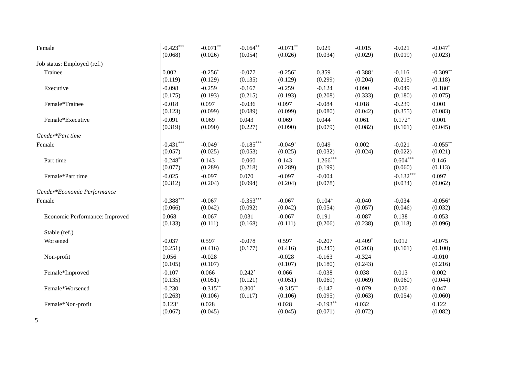| Female                         | $-0.423***$            | $-0.071**$          | $-0.164**$          | $-0.071**$          | 0.029                 | $-0.015$            | $-0.021$               | $-0.047$ *            |
|--------------------------------|------------------------|---------------------|---------------------|---------------------|-----------------------|---------------------|------------------------|-----------------------|
|                                | (0.068)                | (0.026)             | (0.054)             | (0.026)             | (0.034)               | (0.029)             | (0.019)                | (0.023)               |
| Job status: Employed (ref.)    |                        |                     |                     |                     |                       |                     |                        |                       |
| Trainee                        | 0.002                  | $-0.256*$           | $-0.077$            | $-0.256*$           | 0.359                 | $-0.388^{+}$        | $-0.116$               | $-0.309**$            |
|                                | (0.119)                | (0.129)             | (0.135)             | (0.129)             | (0.299)               | (0.204)             | (0.215)                | (0.118)               |
| Executive                      | $-0.098$               | $-0.259$            | $-0.167$            | $-0.259$            | $-0.124$              | 0.090               | $-0.049$               | $-0.180*$             |
|                                | (0.175)                | (0.193)             | (0.215)             | (0.193)             | (0.208)               | (0.333)             | (0.180)                | (0.075)               |
| Female*Trainee                 | $-0.018$               | 0.097               | $-0.036$            | 0.097               | $-0.084$              | 0.018               | $-0.239$               | 0.001                 |
|                                | (0.123)                | (0.099)             | (0.089)             | (0.099)             | (0.080)               | (0.042)             | (0.355)                | (0.083)               |
| Female*Executive               | $-0.091$               | 0.069               | 0.043               | 0.069               | 0.044                 | 0.061               | $0.172^{+}$            | 0.001                 |
|                                | (0.319)                | (0.090)             | (0.227)             | (0.090)             | (0.079)               | (0.082)             | (0.101)                | (0.045)               |
| Gender*Part time               |                        |                     |                     |                     |                       |                     |                        |                       |
| Female                         | $-0.431***$            | $-0.049+$           | $-0.185***$         | $-0.049+$           | 0.049                 | 0.002               | $-0.021$               | $-0.055***$           |
|                                | (0.057)                | (0.025)             | (0.053)             | (0.025)             | (0.032)               | (0.024)             | (0.022)                | (0.021)               |
| Part time                      | $-0.248**$<br>(0.077)  | 0.143<br>(0.289)    | $-0.060$<br>(0.218) | 0.143<br>(0.289)    | $1.266***$<br>(0.199) |                     | $0.604***$<br>(0.060)  | 0.146<br>(0.113)      |
| Female*Part time               | $-0.025$<br>(0.312)    | $-0.097$<br>(0.204) | 0.070<br>(0.094)    | $-0.097$<br>(0.204) | $-0.004$<br>(0.078)   |                     | $-0.132***$<br>(0.034) | 0.097<br>(0.062)      |
| Gender*Economic Performance    |                        |                     |                     |                     |                       |                     |                        |                       |
| Female                         | $-0.388***$            | $-0.067$            | $-0.353***$         | $-0.067$            | $0.104^{+}$           | $-0.040$            | $-0.034$               | $-0.056$ <sup>+</sup> |
|                                | (0.066)                | (0.042)             | (0.092)             | (0.042)             | (0.054)               | (0.057)             | (0.046)                | (0.032)               |
| Economic Performance: Improved | 0.068                  | $-0.067$            | 0.031               | $-0.067$            | 0.191                 | $-0.087$            | 0.138                  | $-0.053$              |
|                                | (0.133)                | (0.111)             | (0.168)             | (0.111)             | (0.206)               | (0.238)             | (0.118)                | (0.096)               |
| Stable (ref.)                  |                        |                     |                     |                     |                       |                     |                        |                       |
| Worsened                       | $-0.037$               | 0.597               | $-0.078$            | 0.597               | $-0.207$              | $-0.409*$           | 0.012                  | $-0.075$              |
|                                | (0.251)                | (0.416)             | (0.177)             | (0.416)             | (0.245)               | (0.203)             | (0.101)                | (0.100)               |
| Non-profit                     | 0.056<br>(0.105)       | $-0.028$<br>(0.107) |                     | $-0.028$<br>(0.107) | $-0.163$<br>(0.180)   | $-0.324$<br>(0.243) |                        | $-0.010$<br>(0.216)   |
| Female*Improved                | $-0.107$               | 0.066               | $0.242*$            | 0.066               | $-0.038$              | 0.038               | 0.013                  | 0.002                 |
|                                | (0.135)                | (0.051)             | (0.121)             | (0.051)             | (0.069)               | (0.069)             | (0.060)                | (0.044)               |
| Female*Worsened                | $-0.230$               | $-0.315***$         | $0.300*$            | $-0.315***$         | $-0.147$              | $-0.079$            | 0.020                  | 0.047                 |
|                                | (0.263)                | (0.106)             | (0.117)             | (0.106)             | (0.095)               | (0.063)             | (0.054)                | (0.060)               |
| Female*Non-profit              | $0.123^{+}$<br>(0.067) | 0.028<br>(0.045)    |                     | 0.028<br>(0.045)    | $-0.193**$<br>(0.071) | 0.032<br>(0.072)    |                        | 0.122<br>(0.082)      |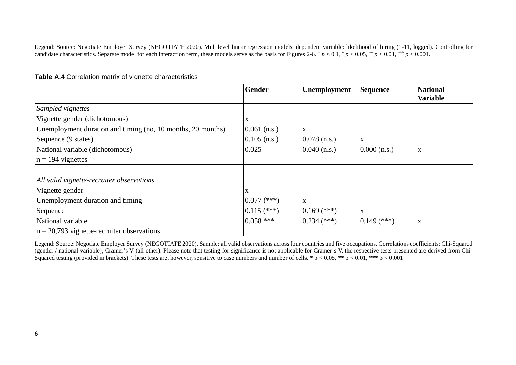Legend: Source: Negotiate Employer Survey (NEGOTIATE 2020). Multilevel linear regression models, dependent variable: likelihood of hiring (1-11, logged). Controlling for candidate characteristics. Separate model for each interaction term, these models serve as the basis for Figures 2-6.  $p < 0.1$ ,  $p < 0.05$ ,  $p < 0.01$ ,  $p < 0.01$ ,  $p < 0.001$ .

|                                                             | <b>Gender</b>  | Unemployment   | <b>Sequence</b> | <b>National</b><br><b>Variable</b> |
|-------------------------------------------------------------|----------------|----------------|-----------------|------------------------------------|
| Sampled vignettes                                           |                |                |                 |                                    |
| Vignette gender (dichotomous)                               | X              |                |                 |                                    |
| Unemployment duration and timing (no, 10 months, 20 months) | $0.061$ (n.s.) | X              |                 |                                    |
| Sequence (9 states)                                         | $0.105$ (n.s.) | $0.078$ (n.s.) | X               |                                    |
| National variable (dichotomous)                             | 0.025          | $0.040$ (n.s.) | $0.000$ (n.s.)  | $\mathbf X$                        |
| $n = 194$ vignettes                                         |                |                |                 |                                    |
|                                                             |                |                |                 |                                    |
| All valid vignette-recruiter observations                   |                |                |                 |                                    |
| Vignette gender                                             | X              |                |                 |                                    |
| Unemployment duration and timing                            | $0.077$ (***)  | $\mathbf X$    |                 |                                    |
| Sequence                                                    | $0.115$ (***)  | $0.169$ (***)  | X               |                                    |
| National variable                                           | $0.058$ ***    | $0.234$ (***)  | $0.149$ (***)   | $\mathbf X$                        |
| $n = 20,793$ vignette-recruiter observations                |                |                |                 |                                    |

## **Table A.4** Correlation matrix of vignette characteristics

Legend: Source: Negotiate Employer Survey (NEGOTIATE 2020). Sample: all valid observations across four countries and five occupations. Correlations coefficients: Chi-Squared (gender / national variable), Cramer's V (all other). Please note that testing for significance is not applicable for Cramer's V, the respective tests presented are derived from Chi-Squared testing (provided in brackets). These tests are, however, sensitive to case numbers and number of cells. \*  $p < 0.05$ , \*\*  $p < 0.01$ , \*\*\*  $p < 0.001$ .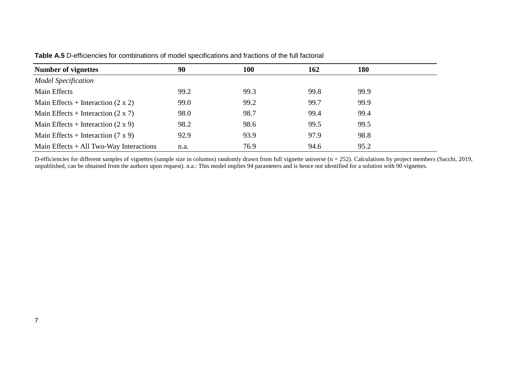| <b>Number of vignettes</b>                | 90   | <b>100</b> | 162  | 180  |
|-------------------------------------------|------|------------|------|------|
| <b>Model Specification</b>                |      |            |      |      |
| Main Effects                              | 99.2 | 99.3       | 99.8 | 99.9 |
| Main Effects + Interaction $(2 \times 2)$ | 99.0 | 99.2       | 99.7 | 99.9 |
| Main Effects + Interaction $(2 \times 7)$ | 98.0 | 98.7       | 99.4 | 99.4 |
| Main Effects + Interaction $(2 \times 9)$ | 98.2 | 98.6       | 99.5 | 99.5 |
| Main Effects + Interaction $(7 \times 9)$ | 92.9 | 93.9       | 97.9 | 98.8 |
| Main Effects $+$ All Two-Way Interactions | n.a. | 76.9       | 94.6 | 95.2 |

**Table A.5** D-efficiencies for combinations of model specifications and fractions of the full factorial

D-efficiencies for different samples of vignettes (sample size in columns) randomly drawn from full vignette universe (n = 252). Calculations by project members (Sacchi, 2019, unpublished, can be obtained from the authors upon request). n.a.: This model implies 94 parameters and is hence not identified for a solution with 90 vignettes.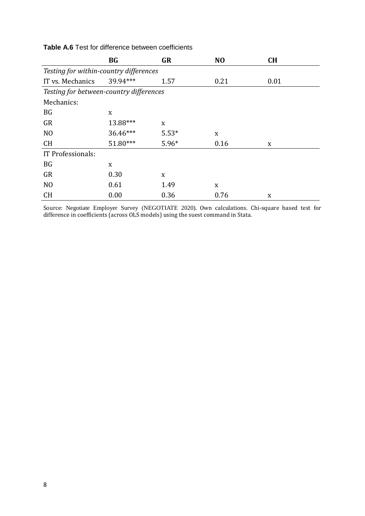|                                         | <b>BG</b>                              | GR      | N <sub>O</sub> | <b>CH</b> |  |  |  |  |  |
|-----------------------------------------|----------------------------------------|---------|----------------|-----------|--|--|--|--|--|
|                                         | Testing for within-country differences |         |                |           |  |  |  |  |  |
| IT vs. Mechanics                        | 39.94***                               | 1.57    | 0.21           | 0.01      |  |  |  |  |  |
| Testing for between-country differences |                                        |         |                |           |  |  |  |  |  |
| Mechanics:                              |                                        |         |                |           |  |  |  |  |  |
| BG                                      | X                                      |         |                |           |  |  |  |  |  |
| GR                                      | 13.88***                               | X       |                |           |  |  |  |  |  |
| N <sub>O</sub>                          | 36.46***                               | $5.53*$ | X              |           |  |  |  |  |  |
| <b>CH</b>                               | 51.80***                               | $5.96*$ | 0.16           | X         |  |  |  |  |  |
| IT Professionals:                       |                                        |         |                |           |  |  |  |  |  |
| BG                                      | X                                      |         |                |           |  |  |  |  |  |
| GR                                      | 0.30                                   | X       |                |           |  |  |  |  |  |
| N <sub>O</sub>                          | 0.61                                   | 1.49    | X              |           |  |  |  |  |  |
| CH                                      | 0.00                                   | 0.36    | 0.76           | X         |  |  |  |  |  |

**Table A.6** Test for difference between coefficients

Source: Negotiate Employer Survey (NEGOTIATE 2020). Own calculations. Chi-square based test for difference in coefficients (across OLS models) using the suest command in Stata.